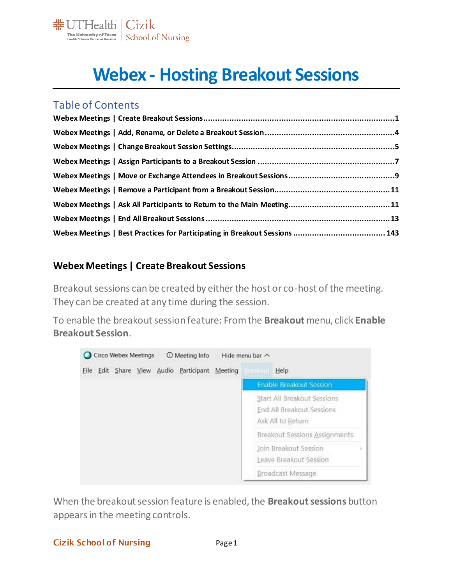

# **Webex - Hosting Breakout Sessions**

## Table of Contents

| Webex Meetings   Best Practices for Participating in Breakout Sessions  143 |  |
|-----------------------------------------------------------------------------|--|

#### <span id="page-0-0"></span>**Webex Meetings | Create Breakout Sessions**

Breakout sessions can be created by either the host or co-host of the meeting. They can be created at any time during the session.

To enable the breakout session feature: From the **Breakout** menu, click **Enable Breakout Session**.



When the breakout session feature is enabled, the **Breakout sessions** button appears in the meeting controls.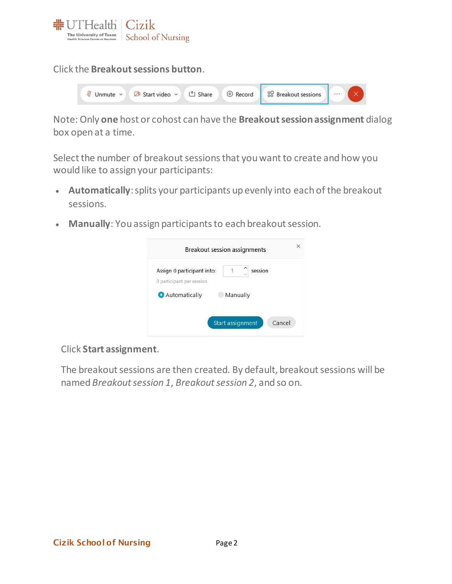

Click the **Breakout sessions button**.

|  |  | Unmute v 28 Start video v 1 <sup>t</sup> Share © Record 89 Breakout sessions |  |
|--|--|------------------------------------------------------------------------------|--|
|  |  |                                                                              |  |

Note: Only **one** host or cohost can have the **Breakout session assignment** dialog box open at a time.

Select the number of breakout sessions that you want to create and how you would like to assign your participants:

- **Automatically**: splits your participants up evenly into each of the breakout sessions.
- **Manually**: You assign participants to each breakout session.

| Assign 0 participant into: | session  |
|----------------------------|----------|
| 0 participant per session  |          |
| Automatically              | Manually |
|                            |          |
|                            |          |

Click **Start assignment**.

The breakout sessions are then created. By default, breakout sessions will be named *Breakout session 1*, *Breakout session 2*, and so on.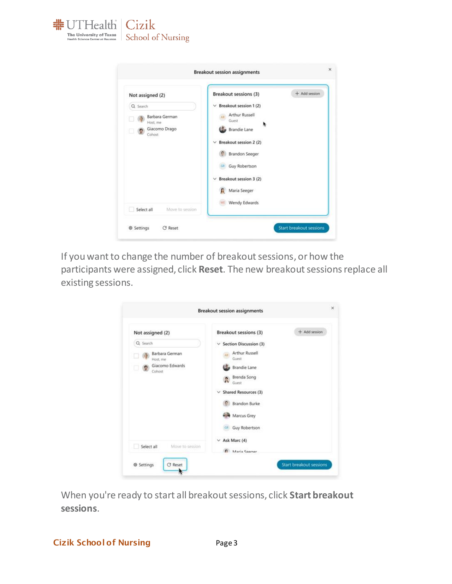

| Not assigned (2)                                                  | Breakout sessions (3)                                                                                                                                                                                                     | $+$ Add session |
|-------------------------------------------------------------------|---------------------------------------------------------------------------------------------------------------------------------------------------------------------------------------------------------------------------|-----------------|
| Q Search<br>Barbara German<br>Host, me<br>Giacomo Drago<br>Cohost | Breakout session 1 (2)<br>v.<br>Arthur Russell<br>Guest<br><b>Brandie Lane</b><br>Breakout session 2 (2)<br>$\checkmark$<br><b>Brandon Seeger</b><br>Guy Robertson<br>GH<br>$\vee$ Breakout session 3 (2)<br>Maria Seeger |                 |
| Select all<br>Move to session                                     | WE Wendy Edwards                                                                                                                                                                                                          |                 |

If you want to change the number of breakout sessions, or how the participants were assigned, click **Reset**. The new breakout sessions replace all existing sessions.

| Not assigned (2)               | + Add session<br>Breakout sessions (3)          |  |
|--------------------------------|-------------------------------------------------|--|
| Q Search<br>Barbara German     | $\vee$ Section Discussion (3)<br>Arthur Russell |  |
| Host, me                       | Guest                                           |  |
| Giacomo Edwards<br>ப<br>Cohost | Brandie Lane                                    |  |
|                                | Brenda Song<br>R<br>Guest                       |  |
|                                | $\vee$ Shared Resources (3)                     |  |
|                                | Brandon Burke                                   |  |
|                                | Marcus Grey                                     |  |
|                                | <b>GIL</b> Guy Robertson                        |  |
|                                | $\vee$ Ask Marc (4)                             |  |
| Move to session<br>Select all  | Alaria Seener                                   |  |

When you're ready to start all breakout sessions, click **Start breakout sessions**.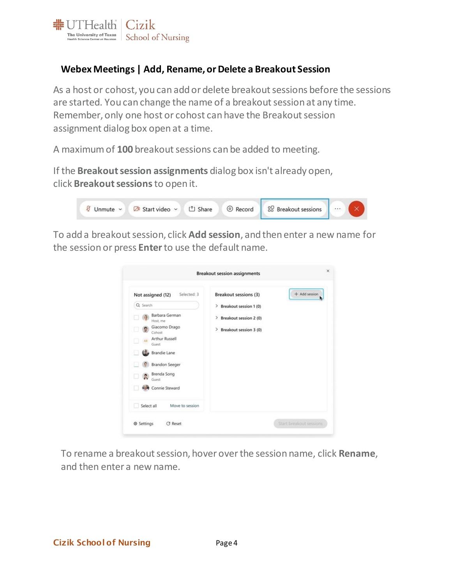

## <span id="page-3-0"></span>**Webex Meetings | Add, Rename, or Delete a Breakout Session**

As a host or cohost, you can add or delete breakout sessions before the sessions are started. You can change the name of a breakout session at any time. Remember, only one host or cohost can have the Breakout session assignment dialog box open at a time.

A maximum of **100** breakout sessions can be added to meeting.

If the **Breakout session assignments** dialog box isn't already open, click **Breakout sessions**to open it.

| Unmute v Z <sup>8</sup> Start video v L <sup>*</sup> 1 Share |  | © Record 89 Breakout sessions | $\mathbb{L}$ | $\sim$ |  |
|--------------------------------------------------------------|--|-------------------------------|--------------|--------|--|
|                                                              |  |                               |              |        |  |

To add a breakout session, click **Add session**, and then enter a new name for the session or press **Enter**to use the default name.

| Selected: 3                                                                                                                                                                                       | + Add session                                                                       |
|---------------------------------------------------------------------------------------------------------------------------------------------------------------------------------------------------|-------------------------------------------------------------------------------------|
| Not assigned (12)                                                                                                                                                                                 | Breakout sessions (3)                                                               |
| Q Search<br>Barbara German<br>Host, me<br>Giacomo Drago<br>۰<br>Cohost<br><b>Arthur Russell</b><br>AR<br>Guest<br>Brandie Lane<br><b>Brandon Seeger</b><br>Brenda Song<br>Guest<br>Connie Steward | Breakout session 1 (0)<br>⋗<br>> Breakout session 2 (0)<br>> Breakout session 3 (0) |

To rename a breakout session, hover over the session name, click **Rename**, and then enter a new name.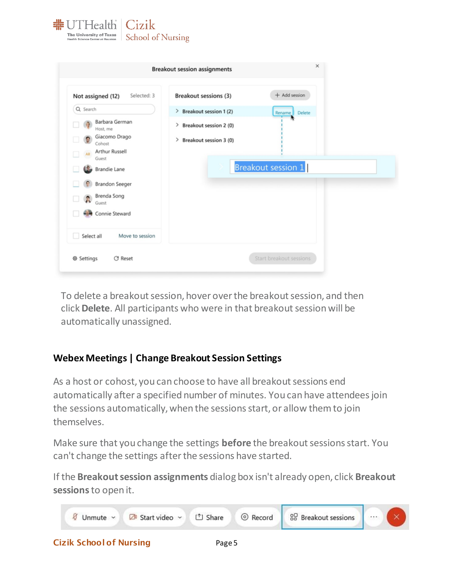

|                                      | <b>Breakout session assignments</b> |                           |  |
|--------------------------------------|-------------------------------------|---------------------------|--|
| Selected: 3<br>Not assigned (12)     | Breakout sessions (3)               | + Add session             |  |
| Q Search                             | > Breakout session 1 (2)            | Delete<br>Rename          |  |
| Barbara German<br>Host, me           | Breakout session 2 (0)<br>>         |                           |  |
| Giacomo Drago<br>G<br>Cohost         | Breakout session 3 (0)<br>>         |                           |  |
| Arthur Russell<br>⊔<br>Guest         |                                     |                           |  |
| Brandie Lane                         |                                     | <b>Breakout session 1</b> |  |
| Brandon Seeger                       |                                     |                           |  |
| Brenda Song<br>$\mathbb{R}$<br>Guest |                                     |                           |  |
| Connie Steward                       |                                     |                           |  |
| Select all<br>Move to session        |                                     |                           |  |
| <b>※ Settings</b><br><b>C</b> Reset  |                                     | Start breakout sessions   |  |

To delete a breakout session, hover over the breakout session, and then click **Delete**. All participants who were in that breakout session will be automatically unassigned.

## <span id="page-4-0"></span>**Webex Meetings | Change Breakout Session Settings**

Cizik School of Nursing Fage 5

As a host or cohost, you can choose to have all breakout sessions end automatically after a specified number of minutes. You can have attendees join the sessions automatically, when the sessions start, or allow them to join themselves.

Make sure that you change the settings **before** the breakout sessions start. You can't change the settings after the sessions have started.

If the **Breakout session assignments** dialog box isn't already open, click **Breakout sessions**to open it.

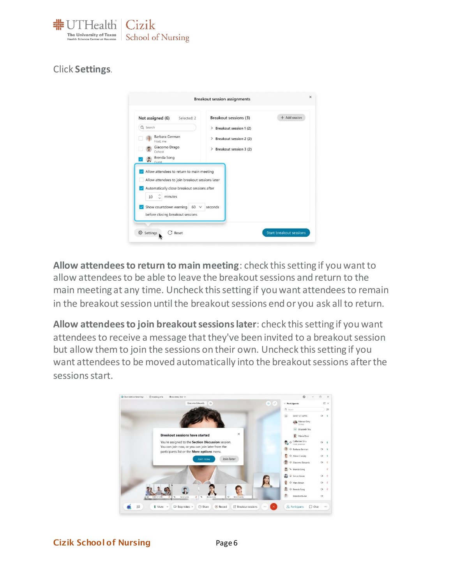

#### Click **Settings**.



**Allow attendees to return to main meeting**: check this setting if you want to allow attendees to be able to leave the breakout sessions and return to the main meeting at any time. Uncheck this setting if you want attendees to remain in the breakout session until the breakout sessions end or you ask all to return.

**Allow attendees to join breakout sessions later**: check this setting if you want attendees to receive a message that they've been invited to a breakout session but allow them to join the sessions on their own. Uncheck this setting if you want attendees to be moved automatically into the breakout sessions after the sessions start.

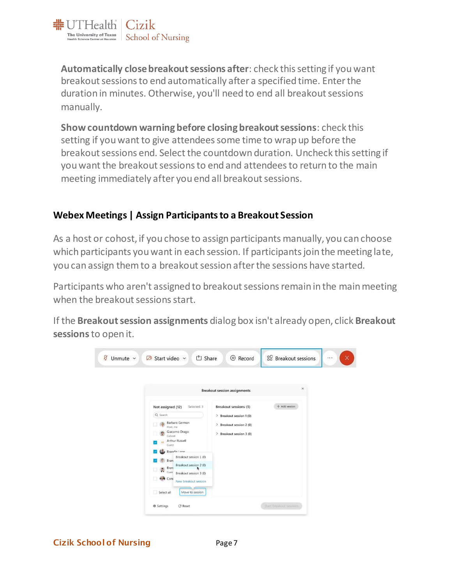

**Automatically close breakout sessions after**: check this setting if you want breakout sessions to end automatically after a specified time. Enter the duration in minutes. Otherwise, you'll need to end all breakout sessions manually.

**Show countdown warning before closing breakout sessions**: check this setting if you want to give attendees some time to wrap up before the breakout sessions end. Select the countdown duration. Uncheck this setting if you want the breakout sessions to end and attendees to return to the main meeting immediately after you end all breakout sessions.

#### <span id="page-6-0"></span>**Webex Meetings | Assign Participants to a Breakout Session**

As a host or cohost, if you chose to assign participants manually, you can choose which participants you want in each session. If participants join the meeting late, you can assign them to a breakout session after the sessions have started.

Participants who aren't assigned to breakout sessions remain in the main meeting when the breakout sessions start.

If the **Breakout session assignments** dialog box isn't already open, click **Breakout sessions**to open it.

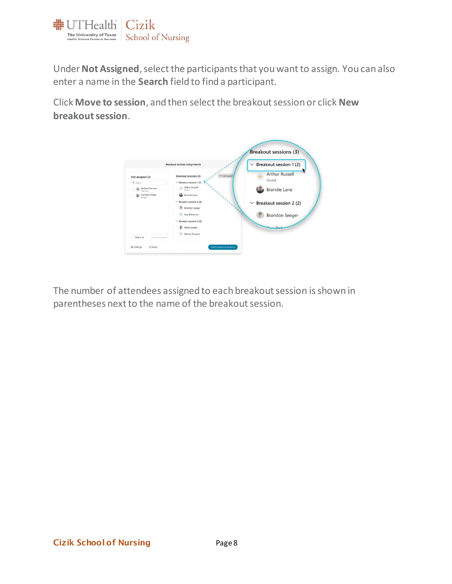

Under**Not Assigned**, select the participants that you want to assign. You can also enter a name in the **Search** field to find a participant.

Click **Move to session**, and then select the breakout session or click **New breakout session**.



<span id="page-7-0"></span>The number of attendees assigned to each breakout session is shown in parentheses next to the name of the breakout session.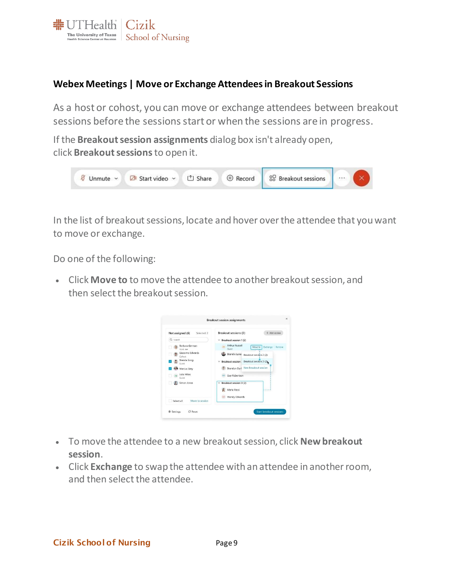

#### **Webex Meetings | Move or Exchange Attendees in Breakout Sessions**

As a host or cohost, you can move or exchange attendees between breakout sessions before the sessions start or when the sessions are in progress.

If the **Breakout session assignments** dialog box isn't already open, click **Breakout sessions**to open it.



In the list of breakout sessions, locate and hover over the attendee that you want to move or exchange.

Do one of the following:

• Click **Move to** to move the attendee to another breakout session, and then select the breakout session.

| Selected: 2<br>Not assigned (6) | Breakout sessions (3)                                              | $+$ Add session            |
|---------------------------------|--------------------------------------------------------------------|----------------------------|
| Q Search                        | $\vee$ Breakout session 1 (2)                                      |                            |
| Rarbara German<br>Host, me      | <b>Arthur Russell</b><br>XR <sup>1</sup><br>Guest                  | Move to<br>Exchange Remove |
| Giacomo Edwards<br>Cohost       | Brandie Lane<br>Breakout session 2 (2)                             |                            |
| Brenda Song<br>Guest            | <b>Breakout session</b><br>Breakout session 3 (2).<br>$\checkmark$ |                            |
| Marcus Grey                     | Brandon Burl New breakout session                                  |                            |
| Julie Miles<br>Guest            | Guy Robertson                                                      |                            |
| Simon Jones                     | Breakout session 3 (2)<br>$\checkmark$                             |                            |
|                                 | Maria Rossi<br>ъ                                                   |                            |
|                                 | Wendy Edwards                                                      |                            |
| Select all<br>Move to session   |                                                                    |                            |

- To move the attendee to a new breakout session, click **New breakout session**.
- Click **Exchange** to swap the attendee with an attendee in another room, and then select the attendee.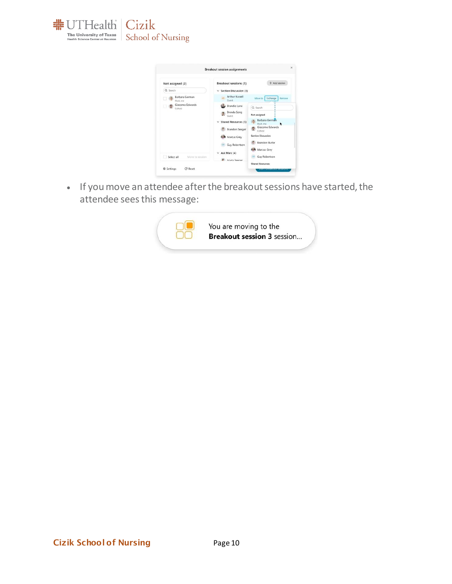



<span id="page-9-0"></span>• If you move an attendee after the breakout sessions have started, the attendee sees this message:

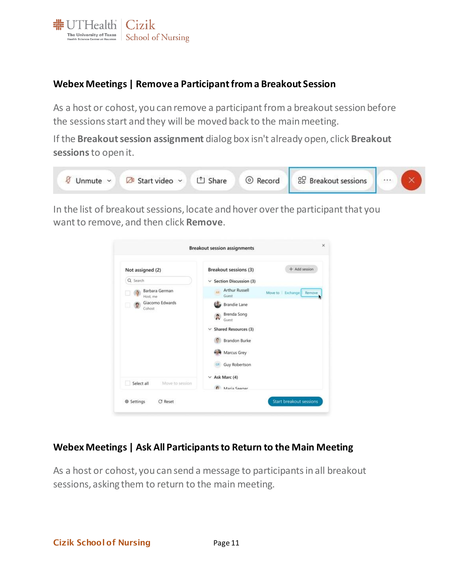

## **Webex Meetings | Remove a Participant from a Breakout Session**

As a host or cohost, you can remove a participant from a breakout session before the sessions start and they will be moved back to the main meeting.

If the **Breakout session assignment** dialog box isn't already open, click **Breakout sessions**to open it.



In the list of breakout sessions, locate and hover over the participant that you want to remove, and then click **Remove**.

| Not assigned (2)              | Breakout sessions (3)                | + Add session           |
|-------------------------------|--------------------------------------|-------------------------|
| Q Search                      | $\vee$ Section Discussion (3)        |                         |
| Barbara German<br>Host, me    | <b>Arthur Russell</b><br>AB<br>Guest | Move to Exchange Remove |
| Giacomo Edwards<br>Cohost     | <b>Brandie Lane</b>                  |                         |
|                               | Brenda Song<br>х<br>Guest.           |                         |
|                               | $\vee$ Shared Resources (3)          |                         |
|                               | <b>Brandon Burke</b>                 |                         |
|                               | Marcus Grey                          |                         |
|                               | Guy Robertson                        |                         |
|                               | $\times$ Ask Marc (4)                |                         |
| Select all<br>Maye to session | A Maria Seener                       |                         |

#### <span id="page-10-0"></span>**Webex Meetings | Ask All Participants to Return to the Main Meeting**

As a host or cohost, you can send a message to participants in all breakout sessions, asking them to return to the main meeting.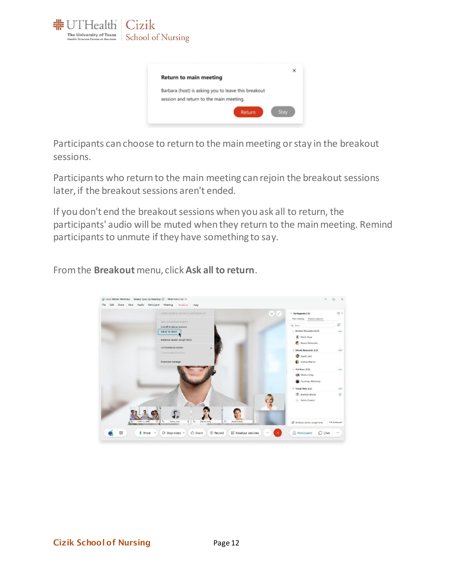



Participants can choose to return to the main meeting or stay in the breakout sessions.

Participants who return to the main meeting can rejoin the breakout sessions later, if the breakout sessions aren't ended.

If you don't end the breakout sessions when you ask all to return, the participants' audio will be muted when they return to the main meeting. Remind participants to unmute if they have something to say.

From the **Breakout** menu, click **Ask all to return**.

<span id="page-11-0"></span>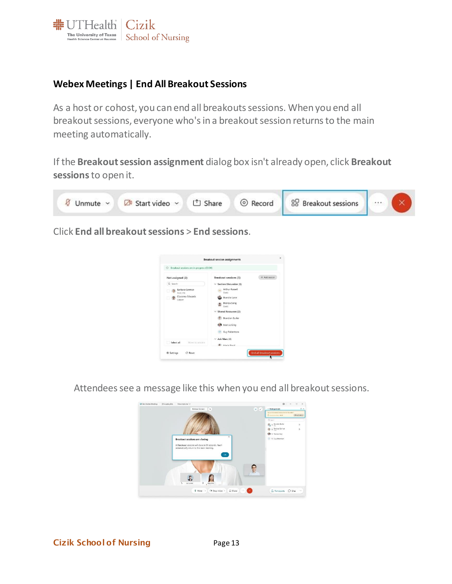

#### **Webex Meetings | End All Breakout Sessions**

As a host or cohost, you can end all breakouts sessions. When you end all breakout sessions, everyone who's in a breakout session returns to the main meeting automatically.

If the **Breakout session assignment** dialog box isn't already open, click **Breakout sessions**to open it.



Click **End all breakout sessions** > **End sessions**.



Attendees see a message like this when you end all breakout sessions.

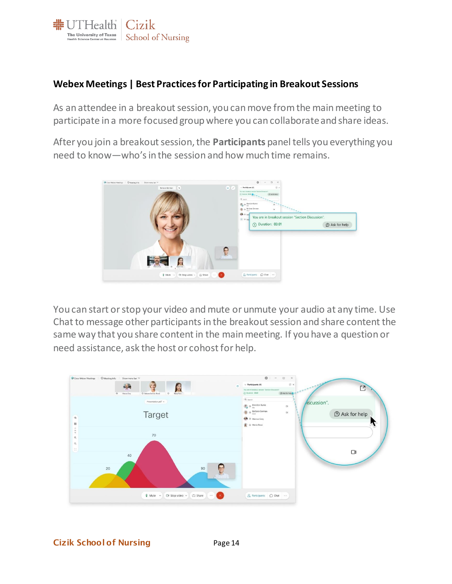

### <span id="page-13-0"></span>**Webex Meetings | Best Practices for Participating in Breakout Sessions**

As an attendee in a breakout session, you can move from the main meeting to participate in a more focused group where you can collaborate and share ideas.

After you join a breakout session, the **Participants** panel tells you everything you need to know—who's in the session and how much time remains.



You can start or stop your video andmute or unmute your audio at any time. Use Chat to message other participantsin the breakout session and share content the same way that you share content in the main meeting. If you have a question or need assistance, ask the host or cohost for help.